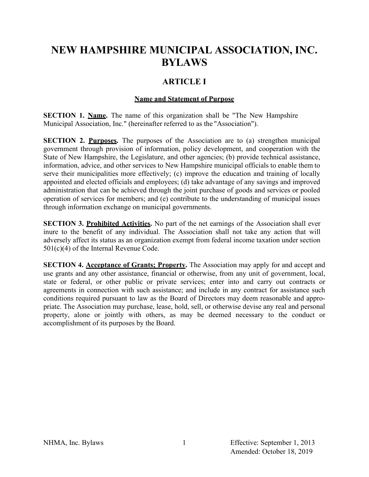# **NEW HAMPSHIRE MUNICIPAL ASSOCIATION, INC. BYLAWS**

### **ARTICLE I**

#### **Name and Statement of Purpose**

**SECTION 1. Name.** The name of this organization shall be "The New Hampshire Municipal Association, Inc." (hereinafter referred to as the "Association").

**SECTION 2. Purposes.** The purposes of the Association are to (a) strengthen municipal government through provision of information, policy development, and cooperation with the State of New Hampshire, the Legislature, and other agencies; (b) provide technical assistance, information, advice, and other services to New Hampshire municipal officials to enable them to serve their municipalities more effectively; (c) improve the education and training of locally appointed and elected officials and employees; (d) take advantage of any savings and improved administration that can be achieved through the joint purchase of goods and services or pooled operation of services for members; and (e) contribute to the understanding of municipal issues through information exchange on municipal governments.

**SECTION 3. Prohibited Activities.** No part of the net earnings of the Association shall ever inure to the benefit of any individual. The Association shall not take any action that will adversely affect its status as an organization exempt from federal income taxation under section 501(c)(4) of the Internal Revenue Code.

**SECTION 4. Acceptance of Grants; Property.** The Association may apply for and accept and use grants and any other assistance, financial or otherwise, from any unit of government, local, state or federal, or other public or private services; enter into and carry out contracts or agreements in connection with such assistance; and include in any contract for assistance such conditions required pursuant to law as the Board of Directors may deem reasonable and appropriate. The Association may purchase, lease, hold, sell, or otherwise devise any real and personal property, alone or jointly with others, as may be deemed necessary to the conduct or accomplishment of its purposes by the Board.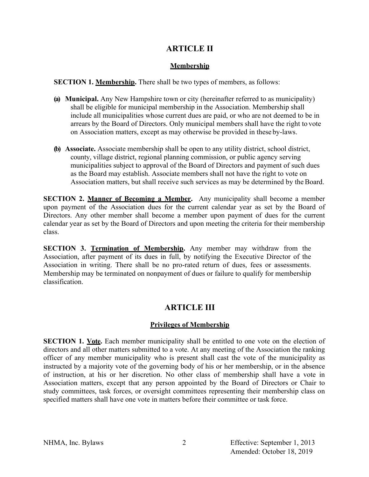### **ARTICLE II**

### **Membership**

**SECTION 1. Membership.** There shall be two types of members, as follows:

- **(a) Municipal.** Any New Hampshire town or city (hereinafter referred to as municipality) shall be eligible for municipal membership in the Association. Membership shall include all municipalities whose current dues are paid, or who are not deemed to be in arrears by the Board of Directors. Only municipal members shall have the right to vote on Association matters, except as may otherwise be provided in these by-laws.
- **(b) Associate.** Associate membership shall be open to any utility district, school district, county, village district, regional planning commission, or public agency serving municipalities subject to approval of the Board of Directors and payment of such dues as the Board may establish. Associate members shall not have the right to vote on Association matters, but shall receive such services as may be determined by the Board.

**SECTION 2. Manner of Becoming a Member.** Any municipality shall become a member upon payment of the Association dues for the current calendar year as set by the Board of Directors. Any other member shall become a member upon payment of dues for the current calendar year as set by the Board of Directors and upon meeting the criteria for their membership class.

**SECTION 3. Termination of Membership.** Any member may withdraw from the Association, after payment of its dues in full, by notifying the Executive Director of the Association in writing. There shall be no pro-rated return of dues, fees or assessments. Membership may be terminated on nonpayment of dues or failure to qualify for membership classification.

## **ARTICLE III**

### **Privileges of Membership**

**SECTION 1. <u>Vote</u>**. Each member municipality shall be entitled to one vote on the election of directors and all other matters submitted to a vote. At any meeting of the Association the ranking officer of any member municipality who is present shall cast the vote of the municipality as instructed by a majority vote of the governing body of his or her membership, or in the absence of instruction, at his or her discretion. No other class of membership shall have a vote in Association matters, except that any person appointed by the Board of Directors or Chair to study committees, task forces, or oversight committees representing their membership class on specified matters shall have one vote in matters before their committee or task force.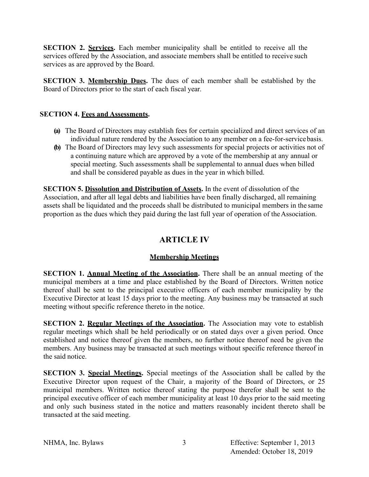**SECTION 2. Services.** Each member municipality shall be entitled to receive all the services offered by the Association, and associate members shall be entitled to receive such services as are approved by the Board.

**SECTION 3. Membership Dues.** The dues of each member shall be established by the Board of Directors prior to the start of each fiscal year.

#### **SECTION 4. Fees and Assessments.**

- **(a)** The Board of Directors may establish fees for certain specialized and direct services of an individual nature rendered by the Association to any member on a fee-for-servicebasis.
- **(b)** The Board of Directors may levy such assessments for special projects or activities not of a continuing nature which are approved by a vote of the membership at any annual or special meeting. Such assessments shall be supplemental to annual dues when billed and shall be considered payable as dues in the year in which billed.

**SECTION 5. Dissolution and Distribution of Assets.** In the event of dissolution of the Association, and after all legal debts and liabilities have been finally discharged, all remaining assets shall be liquidated and the proceeds shall be distributed to municipal members in the same proportion as the dues which they paid during the last full year of operation of the Association.

## **ARTICLE IV**

### **Membership Meetings**

**SECTION 1. Annual Meeting of the Association.** There shall be an annual meeting of the municipal members at a time and place established by the Board of Directors. Written notice thereof shall be sent to the principal executive officers of each member municipality by the Executive Director at least 15 days prior to the meeting. Any business may be transacted at such meeting without specific reference thereto in the notice.

**SECTION 2. Regular Meetings of the Association.** The Association may vote to establish regular meetings which shall be held periodically or on stated days over a given period. Once established and notice thereof given the members, no further notice thereof need be given the members. Any business may be transacted at such meetings without specific reference thereof in the said notice.

**SECTION 3. Special Meetings.** Special meetings of the Association shall be called by the Executive Director upon request of the Chair, a majority of the Board of Directors, or 25 municipal members. Written notice thereof stating the purpose therefor shall be sent to the principal executive officer of each member municipality at least 10 days prior to the said meeting and only such business stated in the notice and matters reasonably incident thereto shall be transacted at the said meeting.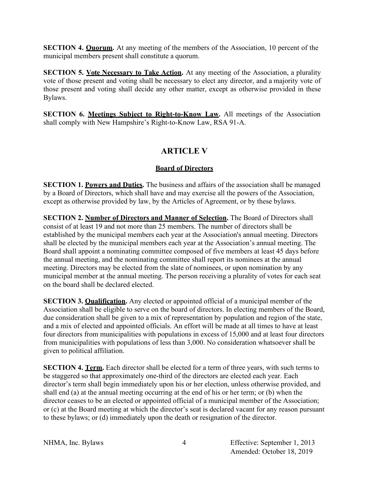**SECTION 4. Quorum.** At any meeting of the members of the Association, 10 percent of the municipal members present shall constitute a quorum.

**SECTION 5. Vote Necessary to Take Action.** At any meeting of the Association, a plurality vote of those present and voting shall be necessary to elect any director, and a majority vote of those present and voting shall decide any other matter, except as otherwise provided in these Bylaws.

**SECTION 6. Meetings Subject to Right-to-Know Law.** All meetings of the Association shall comply with New Hampshire's Right-to-Know Law, RSA 91-A.

## **ARTICLE V**

### **Board of Directors**

**SECTION 1. Powers and Duties.** The business and affairs of the association shall be managed by a Board of Directors, which shall have and may exercise all the powers of the Association, except as otherwise provided by law, by the Articles of Agreement, or by these bylaws.

**SECTION 2. Number of Directors and Manner of Selection.** The Board of Directors shall consist of at least 19 and not more than 25 members. The number of directors shall be established by the municipal members each year at the Association's annual meeting. Directors shall be elected by the municipal members each year at the Association's annual meeting. The Board shall appoint a nominating committee composed of five members at least 45 days before the annual meeting, and the nominating committee shall report its nominees at the annual meeting. Directors may be elected from the slate of nominees, or upon nomination by any municipal member at the annual meeting. The person receiving a plurality of votes for each seat on the board shall be declared elected.

**SECTION 3. Qualification.** Any elected or appointed official of a municipal member of the Association shall be eligible to serve on the board of directors. In electing members of the Board, due consideration shall be given to a mix of representation by population and region of the state, and a mix of elected and appointed officials. An effort will be made at all times to have at least four directors from municipalities with populations in excess of 15,000 and at least four directors from municipalities with populations of less than 3,000. No consideration whatsoever shall be given to political affiliation.

**SECTION 4. Term.** Each director shall be elected for a term of three years, with such terms to be staggered so that approximately one-third of the directors are elected each year. Each director's term shall begin immediately upon his or her election, unless otherwise provided, and shall end (a) at the annual meeting occurring at the end of his or her term; or (b) when the director ceases to be an elected or appointed official of a municipal member of the Association; or (c) at the Board meeting at which the director's seat is declared vacant for any reason pursuant to these bylaws; or (d) immediately upon the death or resignation of the director.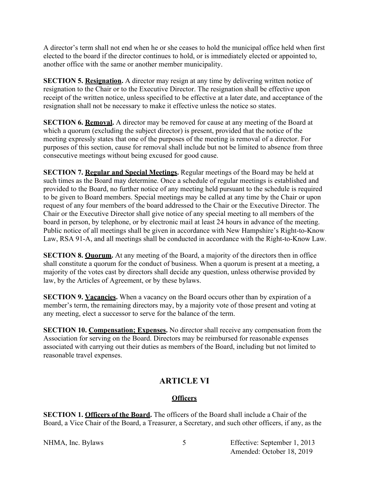A director's term shall not end when he or she ceases to hold the municipal office held when first elected to the board if the director continues to hold, or is immediately elected or appointed to, another office with the same or another member municipality.

**SECTION 5. Resignation.** A director may resign at any time by delivering written notice of resignation to the Chair or to the Executive Director. The resignation shall be effective upon receipt of the written notice, unless specified to be effective at a later date, and acceptance of the resignation shall not be necessary to make it effective unless the notice so states.

**SECTION 6. Removal.** A director may be removed for cause at any meeting of the Board at which a quorum (excluding the subject director) is present, provided that the notice of the meeting expressly states that one of the purposes of the meeting is removal of a director. For purposes of this section, cause for removal shall include but not be limited to absence from three consecutive meetings without being excused for good cause.

**SECTION 7. Regular and Special Meetings.** Regular meetings of the Board may be held at such times as the Board may determine. Once a schedule of regular meetings is established and provided to the Board, no further notice of any meeting held pursuant to the schedule is required to be given to Board members. Special meetings may be called at any time by the Chair or upon request of any four members of the board addressed to the Chair or the Executive Director. The Chair or the Executive Director shall give notice of any special meeting to all members of the board in person, by telephone, or by electronic mail at least 24 hours in advance of the meeting. Public notice of all meetings shall be given in accordance with New Hampshire's Right-to-Know Law, RSA 91-A, and all meetings shall be conducted in accordance with the Right-to-Know Law.

**SECTION 8. Quorum.** At any meeting of the Board, a majority of the directors then in office shall constitute a quorum for the conduct of business. When a quorum is present at a meeting, a majority of the votes cast by directors shall decide any question, unless otherwise provided by law, by the Articles of Agreement, or by these bylaws.

**SECTION 9. Vacancies.** When a vacancy on the Board occurs other than by expiration of a member's term, the remaining directors may, by a majority vote of those present and voting at any meeting, elect a successor to serve for the balance of the term.

**SECTION 10. Compensation: Expenses.** No director shall receive any compensation from the Association for serving on the Board. Directors may be reimbursed for reasonable expenses associated with carrying out their duties as members of the Board, including but not limited to reasonable travel expenses.

## **ARTICLE VI**

### **Officers**

**SECTION 1. Officers of the Board.** The officers of the Board shall include a Chair of the Board, a Vice Chair of the Board, a Treasurer, a Secretary, and such other officers, if any, as the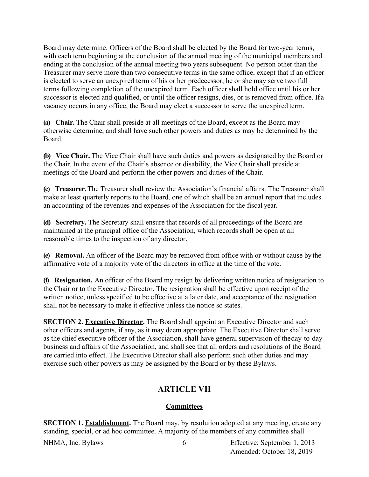Board may determine. Officers of the Board shall be elected by the Board for two-year terms, with each term beginning at the conclusion of the annual meeting of the municipal members and ending at the conclusion of the annual meeting two years subsequent. No person other than the Treasurer may serve more than two consecutive terms in the same office, except that if an officer is elected to serve an unexpired term of his or her predecessor, he or she may serve two full terms following completion of the unexpired term. Each officer shall hold office until his or her successor is elected and qualified, or until the officer resigns, dies, or is removed from office. If a vacancy occurs in any office, the Board may elect a successor to serve the unexpired term.

**(a) Chair.** The Chair shall preside at all meetings of the Board, except as the Board may otherwise determine, and shall have such other powers and duties as may be determined by the Board.

**(b) Vice Chair.** The Vice Chair shall have such duties and powers as designated by the Board or the Chair. In the event of the Chair's absence or disability, the Vice Chair shall preside at meetings of the Board and perform the other powers and duties of the Chair.

**(c) Treasurer.**The Treasurer shall review the Association's financial affairs. The Treasurer shall make at least quarterly reports to the Board, one of which shall be an annual report that includes an accounting of the revenues and expenses of the Association for the fiscal year.

**(d) Secretary.** The Secretary shall ensure that records of all proceedings of the Board are maintained at the principal office of the Association, which records shall be open at all reasonable times to the inspection of any director.

**(e) Removal.** An officer of the Board may be removed from office with or without cause by the affirmative vote of a majority vote of the directors in office at the time of the vote.

**(f) Resignation.** An officer of the Board my resign by delivering written notice of resignation to the Chair or to the Executive Director. The resignation shall be effective upon receipt of the written notice, unless specified to be effective at a later date, and acceptance of the resignation shall not be necessary to make it effective unless the notice so states.

**SECTION 2. Executive Director.** The Board shall appoint an Executive Director and such other officers and agents, if any, as it may deem appropriate. The Executive Director shall serve as the chief executive officer of the Association, shall have general supervision of theday-to-day business and affairs of the Association, and shall see that all orders and resolutions of the Board are carried into effect. The Executive Director shall also perform such other duties and may exercise such other powers as may be assigned by the Board or by these Bylaws.

## **ARTICLE VII**

### **Committees**

**SECTION 1. Establishment.** The Board may, by resolution adopted at any meeting, create any standing, special, or ad hoc committee. A majority of the members of any committee shall

NHMA, Inc. Bylaws 6 Effective: September 1, 2013 Amended: October 18, 2019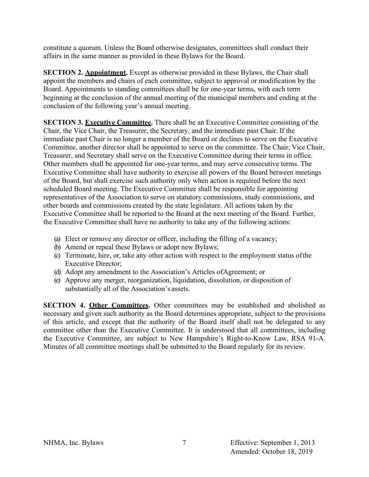constitute a quorum. Unless the Board otherwise designates, committees shall conduct their affairs in the same manner as provided in these Bylaws for the Board.

**SECTION 2. Appointment.** Except as otherwise provided in these Bylaws, the Chair shall appoint the members and chairs of each committee, subject to approval or modification by the Board. Appointments to standing committees shall be for one-year terms, with each term beginning at the conclusion of the annual meeting of the municipal members and ending at the conclusion of the following year's annual meeting.

**SECTION 3. Executive Committee.** There shall be an Executive Committee consisting of the Chair, the Vice Chair, the Treasurer, the Secretary, and the immediate past Chair. If the immediate past Chair is no longer a member of the Board or declines to serve on the Executive Committee, another director shall be appointed to serve on the committee. The Chair, Vice Chair, Treasurer, and Secretary shall serve on the Executive Committee during their terms in office. Other members shall be appointed for one-year terms, and may serve consecutive terms. The Executive Committee shall have authority to exercise all powers of the Board between meetings of the Board, but shall exercise such authority only when action is required before the next scheduled Board meeting. The Executive Committee shall be responsible for appointing representatives of the Association to serve on statutory commissions, study commissions, and other boards and commissions created by the state legislature. All actions taken by the Executive Committee shall be reported to the Board at the next meeting of the Board. Further, the Executive Committee shall have no authority to take any of the following actions:

- (a) Elect or remove any director or officer, including the filling of a vacancy;
- (b) Amend or repeal these Bylaws or adopt new Bylaws;
- (c) Terminate, hire, or, take any other action with respect to the employment status ofthe Executive Director;
- (d) Adopt any amendment to the Association's Articles ofAgreement; or
- (e) Approve any merger, reorganization, liquidation, dissolution, or disposition of substantially all of the Association's assets.

**SECTION 4. Other Committees.** Other committees may be established and abolished as necessary and given such authority as the Board determines appropriate, subject to the provisions of this article, and except that the authority of the Board itself shall not be delegated to any committee other than the Executive Committee. It is understood that all committees, including the Executive Committee, are subject to New Hampshire's Right-to-Know Law, RSA 91-A. Minutes of all committee meetings shall be submitted to the Board regularly for its review.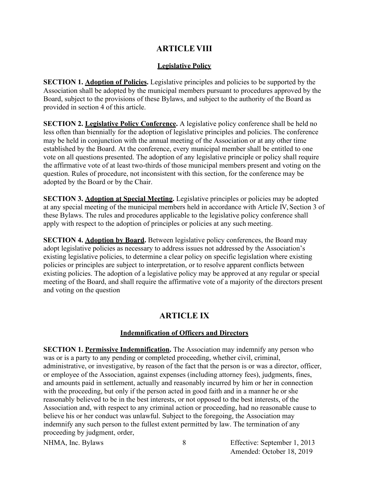### **ARTICLE VIII**

#### **Legislative Policy**

**SECTION 1. Adoption of Policies.** Legislative principles and policies to be supported by the Association shall be adopted by the municipal members pursuant to procedures approved by the Board, subject to the provisions of these Bylaws, and subject to the authority of the Board as provided in section 4 of this article.

**SECTION 2. Legislative Policy Conference.** A legislative policy conference shall be held no less often than biennially for the adoption of legislative principles and policies. The conference may be held in conjunction with the annual meeting of the Association or at any other time established by the Board. At the conference, every municipal member shall be entitled to one vote on all questions presented. The adoption of any legislative principle or policy shall require the affirmative vote of at least two-thirds of those municipal members present and voting on the question. Rules of procedure, not inconsistent with this section, for the conference may be adopted by the Board or by the Chair.

**SECTION 3. Adoption at Special Meeting.** Legislative principles or policies may be adopted at any special meeting of the municipal members held in accordance with Article IV, Section 3 of these Bylaws. The rules and procedures applicable to the legislative policy conference shall apply with respect to the adoption of principles or policies at any such meeting.

**SECTION 4. Adontion by Board.** Between legislative policy conferences, the Board may adopt legislative policies as necessary to address issues not addressed by the Association's existing legislative policies, to determine a clear policy on specific legislation where existing policies or principles are subject to interpretation, or to resolve apparent conflicts between existing policies. The adoption of a legislative policy may be approved at any regular or special meeting of the Board, and shall require the affirmative vote of a majority of the directors present and voting on the question

## **ARTICLE IX**

### **Indemnification of Officers and Directors**

**SECTION 1. Permissive Indemnification.** The Association may indemnify any person who was or is a party to any pending or completed proceeding, whether civil, criminal, administrative, or investigative, by reason of the fact that the person is or was a director, officer, or employee of the Association, against expenses (including attorney fees), judgments, fines, and amounts paid in settlement, actually and reasonably incurred by him or her in connection with the proceeding, but only if the person acted in good faith and in a manner he or she reasonably believed to be in the best interests, or not opposed to the best interests, of the Association and, with respect to any criminal action or proceeding, had no reasonable cause to believe his or her conduct was unlawful. Subject to the foregoing, the Association may indemnify any such person to the fullest extent permitted by law. The termination of any proceeding by judgment, order,

NHMA, Inc. Bylaws 8 Effective: September 1, 2013 Amended: October 18, 2019